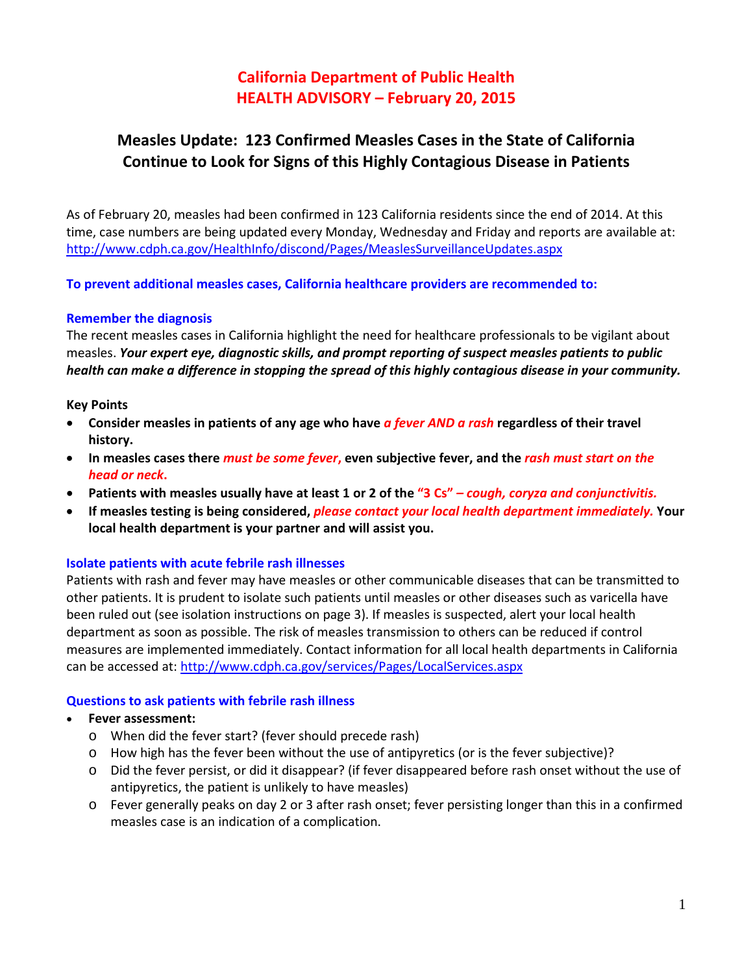# **California Department of Public Health HEALTH ADVISORY – February 20, 2015**

# **Measles Update: 123 Confirmed Measles Cases in the State of California Continue to Look for Signs of this Highly Contagious Disease in Patients**

As of February 20, measles had been confirmed in 123 California residents since the end of 2014. At this time, case numbers are being updated every Monday, Wednesday and Friday and reports are available at: <http://www.cdph.ca.gov/HealthInfo/discond/Pages/MeaslesSurveillanceUpdates.aspx>

**To prevent additional measles cases, California healthcare providers are recommended to:**

### **Remember the diagnosis**

The recent measles cases in California highlight the need for healthcare professionals to be vigilant about measles. *Your expert eye, diagnostic skills, and prompt reporting of suspect measles patients to public health can make a difference in stopping the spread of this highly contagious disease in your community.*

#### **Key Points**

- **Consider measles in patients of any age who have** *a fever AND a rash* **regardless of their travel history.**
- **In measles cases there** *must be some fever***, even subjective fever, and the** *rash must start on the head or neck***.**
- **Patients with measles usually have at least 1 or 2 of the "3 Cs"** *– cough, coryza and conjunctivitis.*
- **If measles testing is being considered,** *please contact your local health department immediately.* **Your local health department is your partner and will assist you.**

#### **Isolate patients with acute febrile rash illnesses**

Patients with rash and fever may have measles or other communicable diseases that can be transmitted to other patients. It is prudent to isolate such patients until measles or other diseases such as varicella have been ruled out (see isolation instructions on page 3). If measles is suspected, alert your local health department as soon as possible. The risk of measles transmission to others can be reduced if control measures are implemented immediately. Contact information for all local health departments in California can be accessed at[: http://www.cdph.ca.gov/services/Pages/LocalServices.aspx](http://www.cdph.ca.gov/services/Pages/LocalServices.aspx)

### **Questions to ask patients with febrile rash illness**

- **Fever assessment:**
	- o When did the fever start? (fever should precede rash)
	- o How high has the fever been without the use of antipyretics (or is the fever subjective)?
	- o Did the fever persist, or did it disappear? (if fever disappeared before rash onset without the use of antipyretics, the patient is unlikely to have measles)
	- o Fever generally peaks on day 2 or 3 after rash onset; fever persisting longer than this in a confirmed measles case is an indication of a complication.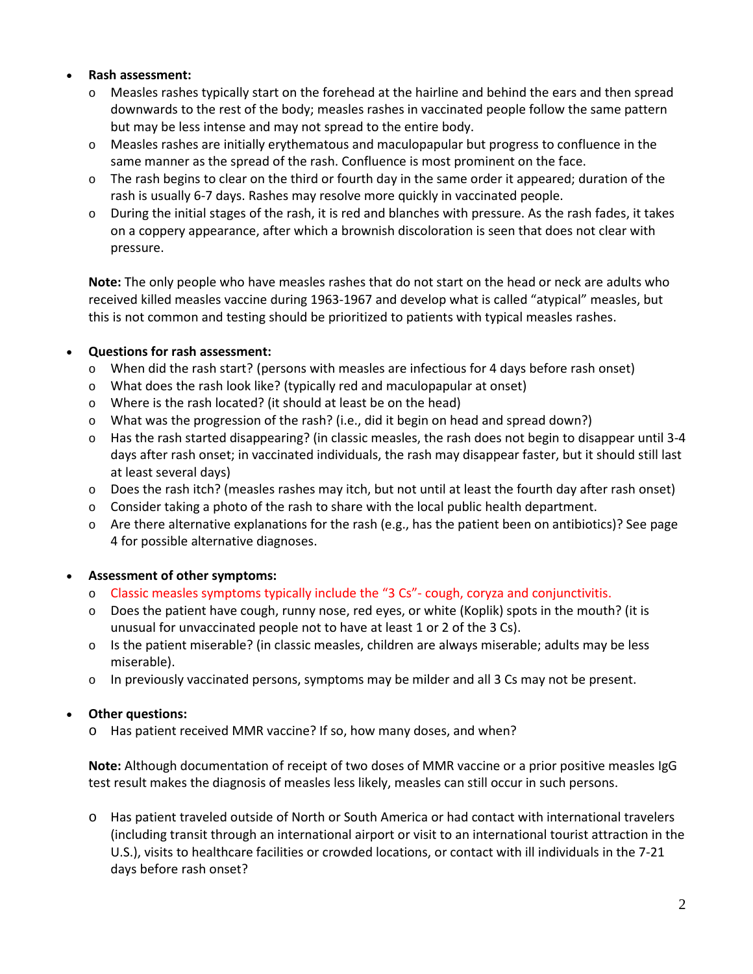## • **Rash assessment:**

- o Measles rashes typically start on the forehead at the hairline and behind the ears and then spread downwards to the rest of the body; measles rashes in vaccinated people follow the same pattern but may be less intense and may not spread to the entire body.
- o Measles rashes are initially erythematous and maculopapular but progress to confluence in the same manner as the spread of the rash. Confluence is most prominent on the face.
- $\circ$  The rash begins to clear on the third or fourth day in the same order it appeared; duration of the rash is usually 6-7 days. Rashes may resolve more quickly in vaccinated people.
- o During the initial stages of the rash, it is red and blanches with pressure. As the rash fades, it takes on a coppery appearance, after which a brownish discoloration is seen that does not clear with pressure.

**Note:** The only people who have measles rashes that do not start on the head or neck are adults who received killed measles vaccine during 1963-1967 and develop what is called "atypical" measles, but this is not common and testing should be prioritized to patients with typical measles rashes.

## • **Questions for rash assessment:**

- o When did the rash start? (persons with measles are infectious for 4 days before rash onset)
- o What does the rash look like? (typically red and maculopapular at onset)
- o Where is the rash located? (it should at least be on the head)
- o What was the progression of the rash? (i.e., did it begin on head and spread down?)
- o Has the rash started disappearing? (in classic measles, the rash does not begin to disappear until 3-4 days after rash onset; in vaccinated individuals, the rash may disappear faster, but it should still last at least several days)
- $\circ$  Does the rash itch? (measles rashes may itch, but not until at least the fourth day after rash onset)
- $\circ$  Consider taking a photo of the rash to share with the local public health department.
- o Are there alternative explanations for the rash (e.g., has the patient been on antibiotics)? See page 4 for possible alternative diagnoses.

### • **Assessment of other symptoms:**

- o Classic measles symptoms typically include the "3 Cs"- cough, coryza and conjunctivitis.
- $\circ$  Does the patient have cough, runny nose, red eyes, or white (Koplik) spots in the mouth? (it is unusual for unvaccinated people not to have at least 1 or 2 of the 3 Cs).
- $\circ$  Is the patient miserable? (in classic measles, children are always miserable; adults may be less miserable).
- o In previously vaccinated persons, symptoms may be milder and all 3 Cs may not be present.

### • **Other questions:**

o Has patient received MMR vaccine? If so, how many doses, and when?

**Note:** Although documentation of receipt of two doses of MMR vaccine or a prior positive measles IgG test result makes the diagnosis of measles less likely, measles can still occur in such persons.

o Has patient traveled outside of North or South America or had contact with international travelers (including transit through an international airport or visit to an international tourist attraction in the U.S.), visits to healthcare facilities or crowded locations, or contact with ill individuals in the 7-21 days before rash onset?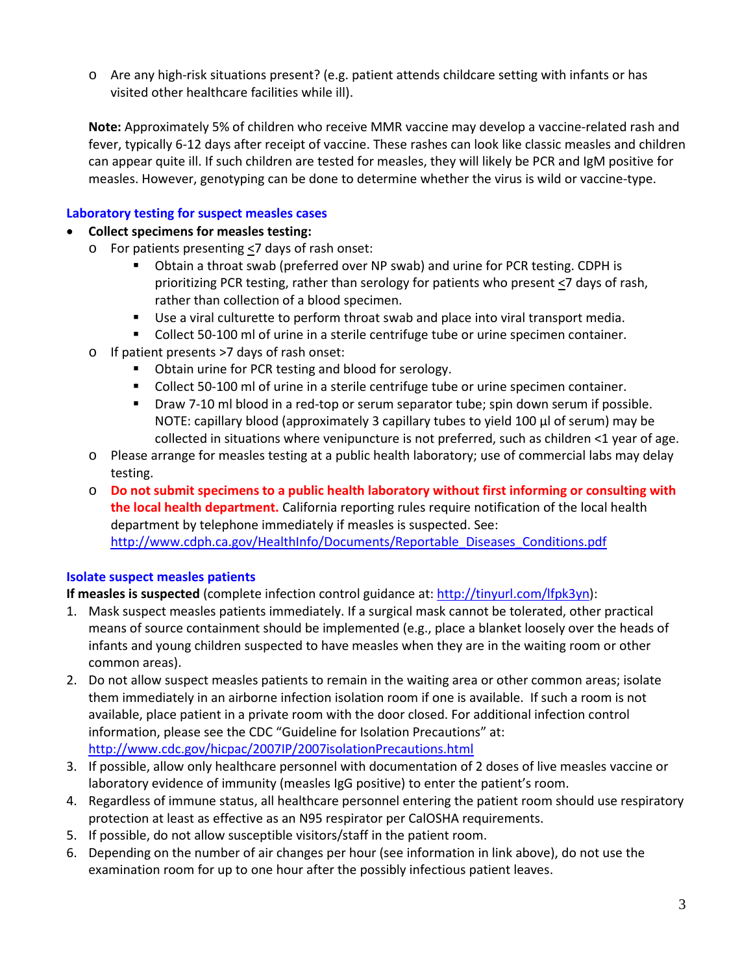o Are any high-risk situations present? (e.g. patient attends childcare setting with infants or has visited other healthcare facilities while ill).

**Note:** Approximately 5% of children who receive MMR vaccine may develop a vaccine-related rash and fever, typically 6-12 days after receipt of vaccine. These rashes can look like classic measles and children can appear quite ill. If such children are tested for measles, they will likely be PCR and IgM positive for measles. However, genotyping can be done to determine whether the virus is wild or vaccine-type.

# **Laboratory testing for suspect measles cases**

### • **Collect specimens for measles testing:**

- o For patients presenting  $\leq$ 7 days of rash onset:
	- Obtain a throat swab (preferred over NP swab) and urine for PCR testing. CDPH is prioritizing PCR testing, rather than serology for patients who present  $\leq$ 7 days of rash, rather than collection of a blood specimen.
	- Use a viral culturette to perform throat swab and place into viral transport media.
	- **Collect 50-100 ml of urine in a sterile centrifuge tube or urine specimen container.**
- o If patient presents >7 days of rash onset:
	- **D** Obtain urine for PCR testing and blood for serology.
	- Collect 50-100 ml of urine in a sterile centrifuge tube or urine specimen container.
	- **Draw 7-10 ml blood in a red-top or serum separator tube; spin down serum if possible.** NOTE: capillary blood (approximately 3 capillary tubes to yield 100 µl of serum) may be collected in situations where venipuncture is not preferred, such as children <1 year of age.
- o Please arrange for measles testing at a public health laboratory; use of commercial labs may delay testing.
- o **Do not submit specimens to a public health laboratory without first informing or consulting with the local health department.** California reporting rules require notification of the local health department by telephone immediately if measles is suspected. See: [http://www.cdph.ca.gov/HealthInfo/Documents/Reportable\\_Diseases\\_Conditions.pdf](http://www.cdph.ca.gov/HealthInfo/Documents/Reportable_Diseases_Conditions.pdf)

### **Isolate suspect measles patients**

**If measles is suspected** (complete infection control guidance at: [http://tinyurl.com/lfpk3yn\)](http://tinyurl.com/lfpk3yn):

- 1. Mask suspect measles patients immediately. If a surgical mask cannot be tolerated, other practical means of source containment should be implemented (e.g., place a blanket loosely over the heads of infants and young children suspected to have measles when they are in the waiting room or other common areas).
- 2. Do not allow suspect measles patients to remain in the waiting area or other common areas; isolate them immediately in an airborne infection isolation room if one is available. If such a room is not available, place patient in a private room with the door closed. For additional infection control information, please see the CDC "Guideline for Isolation Precautions" at: <http://www.cdc.gov/hicpac/2007IP/2007isolationPrecautions.html>
- 3. If possible, allow only healthcare personnel with documentation of 2 doses of live measles vaccine or laboratory evidence of immunity (measles IgG positive) to enter the patient's room.
- 4. Regardless of immune status, all healthcare personnel entering the patient room should use respiratory protection at least as effective as an N95 respirator per CalOSHA requirements.
- 5. If possible, do not allow susceptible visitors/staff in the patient room.
- 6. Depending on the number of air changes per hour (see information in link above), do not use the examination room for up to one hour after the possibly infectious patient leaves.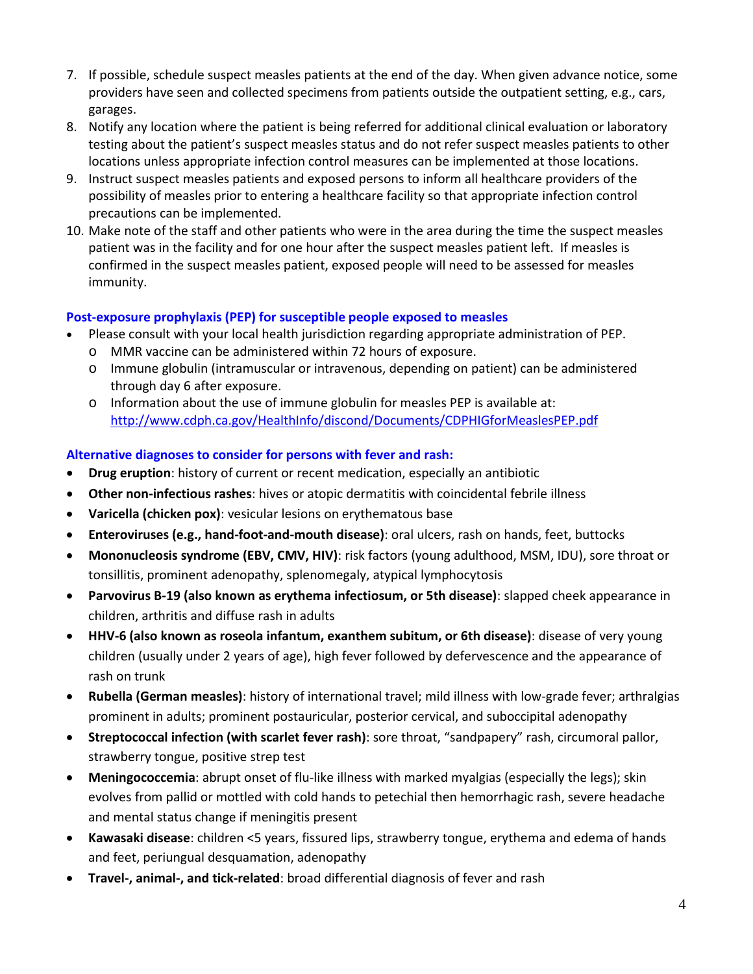- 7. If possible, schedule suspect measles patients at the end of the day. When given advance notice, some providers have seen and collected specimens from patients outside the outpatient setting, e.g., cars, garages.
- 8. Notify any location where the patient is being referred for additional clinical evaluation or laboratory testing about the patient's suspect measles status and do not refer suspect measles patients to other locations unless appropriate infection control measures can be implemented at those locations.
- 9. Instruct suspect measles patients and exposed persons to inform all healthcare providers of the possibility of measles prior to entering a healthcare facility so that appropriate infection control precautions can be implemented.
- 10. Make note of the staff and other patients who were in the area during the time the suspect measles patient was in the facility and for one hour after the suspect measles patient left. If measles is confirmed in the suspect measles patient, exposed people will need to be assessed for measles immunity.

# **Post-exposure prophylaxis (PEP) for susceptible people exposed to measles**

- Please consult with your local health jurisdiction regarding appropriate administration of PEP.
	- o MMR vaccine can be administered within 72 hours of exposure.
	- o Immune globulin (intramuscular or intravenous, depending on patient) can be administered through day 6 after exposure.
	- o Information about the use of immune globulin for measles PEP is available at: <http://www.cdph.ca.gov/HealthInfo/discond/Documents/CDPHIGforMeaslesPEP.pdf>

# **Alternative diagnoses to consider for persons with fever and rash:**

- **Drug eruption**: history of current or recent medication, especially an antibiotic
- **Other non-infectious rashes**: hives or atopic dermatitis with coincidental febrile illness
- **Varicella (chicken pox)**: vesicular lesions on erythematous base
- **Enteroviruses (e.g., hand-foot-and-mouth disease)**: oral ulcers, rash on hands, feet, buttocks
- **Mononucleosis syndrome (EBV, CMV, HIV)**: risk factors (young adulthood, MSM, IDU), sore throat or tonsillitis, prominent adenopathy, splenomegaly, atypical lymphocytosis
- **Parvovirus B-19 (also known as erythema infectiosum, or 5th disease)**: slapped cheek appearance in children, arthritis and diffuse rash in adults
- **HHV-6 (also known as roseola infantum, exanthem subitum, or 6th disease)**: disease of very young children (usually under 2 years of age), high fever followed by defervescence and the appearance of rash on trunk
- **Rubella (German measles)**: history of international travel; mild illness with low-grade fever; arthralgias prominent in adults; prominent postauricular, posterior cervical, and suboccipital adenopathy
- **Streptococcal infection (with scarlet fever rash)**: sore throat, "sandpapery" rash, circumoral pallor, strawberry tongue, positive strep test
- **Meningococcemia**: abrupt onset of flu-like illness with marked myalgias (especially the legs); skin evolves from pallid or mottled with cold hands to petechial then hemorrhagic rash, severe headache and mental status change if meningitis present
- **Kawasaki disease**: children <5 years, fissured lips, strawberry tongue, erythema and edema of hands and feet, periungual desquamation, adenopathy
- **Travel-, animal-, and tick-related**: broad differential diagnosis of fever and rash